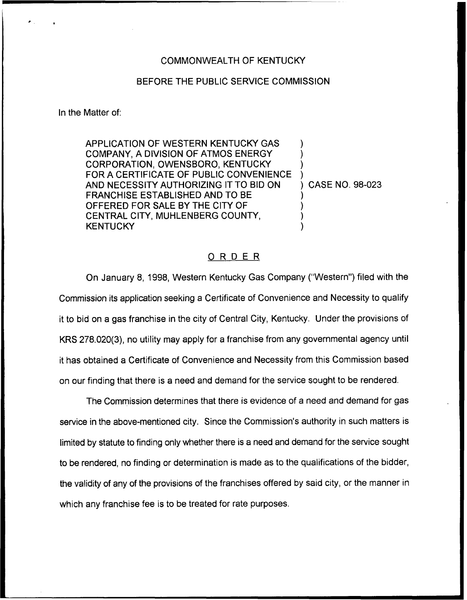### COMMONWEALTH OF KENTUCKY

# BEFORE THE PUBLIC SERVICE COMMISSION

In the Matter of:

APPLICATION OF WESTERN KENTUCKY GAS COMPANY, A DIVISION OF ATMOS ENERGY CORPORATION, OWENSBORO, KENTUCKY FOR A CERTIFICATE OF PUBLIC CONVENIENCE AND NECESSITY AUTHORIZING IT TO BID ON FRANCHISE ESTABLISHED AND TO BE OFFERED FOR SALE BY THE CITY OF CENTRAL CITY, MUHLENBERG COUNTY, **KENTUCKY** ) ) ) ) ) CASE NO. 98-023 ) ) ) )

## ORDER

On January 8, 1998, Western Kentucky Gas Company ("Western") filed with the Commission its application seeking a Certificate of Convenience and Necessity to qualify it to bid on a gas franchise in the city of Central City, Kentucky. Under the provisions of KRS 278.020(3), no utility may apply for a franchise from any governmental agency until it has obtained a Certificate of Convenience and Necessity from this Commission based on our finding that there is a need and demand for the service sought to be rendered.

The Commission determines that there is evidence of a need and demand for gas service in the above-mentioned city. Since the Commission's authority in such matters is limited by statute to finding only whether there is a need and demand for the service sought to be rendered, no finding or determination is made as to the qualifications of the bidder, the validity of any of the provisions of the franchises offered by said city, or the manner in which any franchise fee is to be treated for rate purposes.